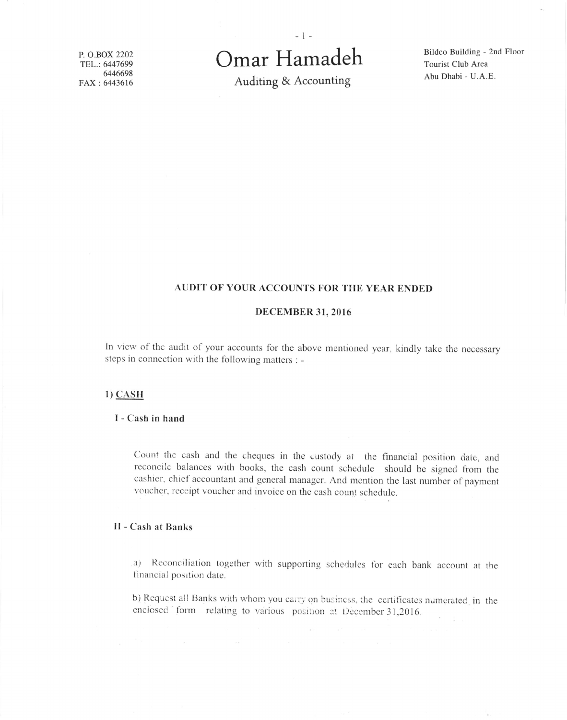P. O.BOX 2202 TEL.: 6447699 6446698 FAX: 6443616

# Omar Hamadeh

Auditing & Accounting

Bildco Building - 2nd Floor Tourist Club Area Abu Dhabi - U.A.E.

# AUDIT OF YOUR ACCOUNTS FOR THE YEAR ENDED

## **DECEMBER 31, 2016**

In view of the audit of your accounts for the above mentioned year, kindly take the necessary steps in connection with the following matters : -

## $1)$  CASH

# I - Cash in hand

Count the cash and the cheques in the custody at the financial position date, and reconcile balances with books, the cash count schedule should be signed from the cashier, chief accountant and general manager. And mention the last number of payment voucher, receipt voucher and invoice on the cash count schedule.

# **II - Cash at Banks**

(a) Reconciliation together with supporting schedules for each bank account at the financial position date.

b) Request all Banks with whom you carry on business, the certificates numerated in the enclosed form relating to various position at December 31,2016.